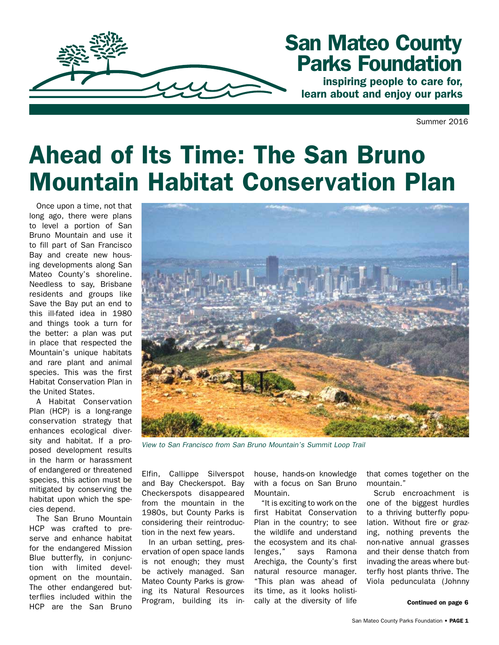

## San Mateo County Parks Foundation

inspiring people to care for, learn about and enjoy our parks

Summer 2016

# Ahead of Its Time: The San Bruno Mountain Habitat Conservation Plan

Once upon a time, not that long ago, there were plans to level a portion of San Bruno Mountain and use it to fill part of San Francisco Bay and create new housing developments along San Mateo County's shoreline. Needless to say, Brisbane residents and groups like Save the Bay put an end to this ill-fated idea in 1980 and things took a turn for the better: a plan was put in place that respected the Mountain's unique habitats and rare plant and animal species. This was the first Habitat Conservation Plan in the United States.

A Habitat Conservation Plan (HCP) is a long-range conservation strategy that enhances ecological diversity and habitat. If a proposed development results in the harm or harassment of endangered or threatened species, this action must be mitigated by conserving the habitat upon which the species depend.

The San Bruno Mountain HCP was crafted to preserve and enhance habitat for the endangered Mission Blue butterfly, in conjunction with limited development on the mountain. The other endangered butterflies included within the HCP are the San Bruno



*View to San Francisco from San Bruno Mountain's Summit Loop Trail*

Elfin, Callippe Silverspot and Bay Checkerspot. Bay Checkerspots disappeared from the mountain in the 1980s, but County Parks is considering their reintroduction in the next few years.

In an urban setting, preservation of open space lands is not enough; they must be actively managed. San Mateo County Parks is growing its Natural Resources Program, building its inhouse, hands-on knowledge with a focus on San Bruno Mountain.

"It is exciting to work on the first Habitat Conservation Plan in the country; to see the wildlife and understand the ecosystem and its challenges," says Ramona Arechiga, the County's first natural resource manager. "This plan was ahead of its time, as it looks holistically at the diversity of life

that comes together on the mountain."

Scrub encroachment is one of the biggest hurdles to a thriving butterfly population. Without fire or grazing, nothing prevents the non-native annual grasses and their dense thatch from invading the areas where butterfly host plants thrive. The Viola pedunculata (Johnny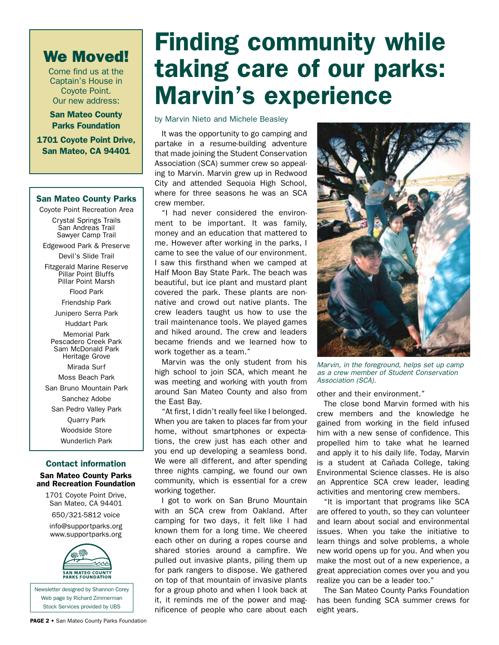### We Moved!

Come find us at the Captain's House in Coyote Point. Our new address:

San Mateo County Parks Foundation

1701 Coyote Point Drive, San Mateo, CA 94401

#### San Mateo County Parks

Coyote Point Recreation Area Crystal Springs Trails San Andreas Trail Sawyer Camp Trail

Edgewood Park & Preserve

Devil's Slide Trail

Fitzgerald Marine Reserve Pillar Point Bluffs Pillar Point Marsh

Flood Park

Friendship Park

Junipero Serra Park

Huddart Park

Memorial Park Pescadero Creek Park Sam McDonald Park Heritage Grove Mirada Surf

Moss Beach Park

San Bruno Mountain Park Sanchez Adobe

San Pedro Valley Park

Quarry Park Woodside Store

Wunderlich Park

#### Contact information

San Mateo County Parks and Recreation Foundation

1701 Coyote Point Drive, San Mateo, CA 94401

650/321-5812 voice

info@supportparks.org www.supportparks.org



Newsletter designed by Shannon Corey Web page by Richard Zimmerman Stock Services provided by UBS

# Finding community while taking care of our parks: Marvin's experience

by Marvin Nieto and Michele Beasley

It was the opportunity to go camping and partake in a resume-building adventure that made joining the Student Conservation Association (SCA) summer crew so appealing to Marvin. Marvin grew up in Redwood City and attended Sequoia High School, where for three seasons he was an SCA crew member.

"I had never considered the environment to be important. It was family, money and an education that mattered to me. However after working in the parks, I came to see the value of our environment. I saw this firsthand when we camped at Half Moon Bay State Park. The beach was beautiful, but ice plant and mustard plant covered the park. These plants are nonnative and crowd out native plants. The crew leaders taught us how to use the trail maintenance tools. We played games and hiked around. The crew and leaders became friends and we learned how to work together as a team."

Marvin was the only student from his high school to join SCA, which meant he was meeting and working with youth from around San Mateo County and also from the East Bay.

"At first, I didn't really feel like I belonged. When you are taken to places far from your home, without smartphones or expectations, the crew just has each other and you end up developing a seamless bond. We were all different, and after spending three nights camping, we found our own community, which is essential for a crew working together.

I got to work on San Bruno Mountain with an SCA crew from Oakland. After camping for two days, it felt like I had known them for a long time. We cheered each other on during a ropes course and shared stories around a campfire. We pulled out invasive plants, piling them up for park rangers to dispose. We gathered on top of that mountain of invasive plants for a group photo and when I look back at it, it reminds me of the power and magnificence of people who care about each



*Marvin, in the foreground, helps set up camp as a crew member of Student Conservation Association (SCA).*

other and their environment."

The close bond Marvin formed with his crew members and the knowledge he gained from working in the field infused him with a new sense of confidence. This propelled him to take what he learned and apply it to his daily life. Today, Marvin is a student at Cañada College, taking Environmental Science classes. He is also an Apprentice SCA crew leader, leading activities and mentoring crew members.

"It is important that programs like SCA are offered to youth, so they can volunteer and learn about social and environmental issues. When you take the initiative to learn things and solve problems, a whole new world opens up for you. And when you make the most out of a new experience, a great appreciation comes over you and you realize you can be a leader too."

The San Mateo County Parks Foundation has been funding SCA summer crews for eight years.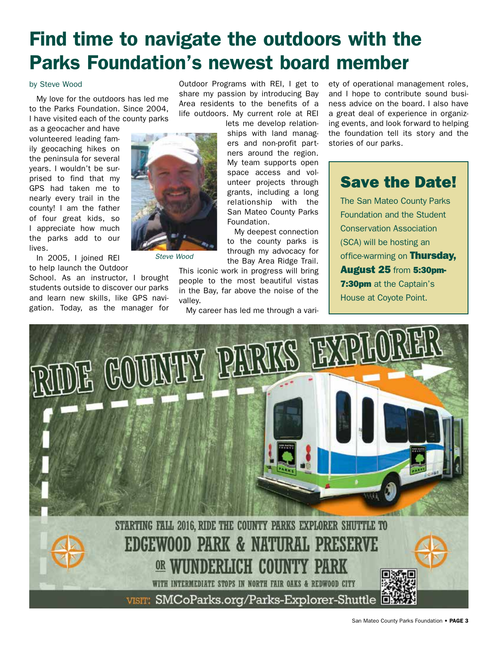## Find time to navigate the outdoors with the Parks Foundation's newest board member

#### by Steve Wood

My love for the outdoors has led me to the Parks Foundation. Since 2004, I have visited each of the county parks

as a geocacher and have volunteered leading family geocaching hikes on the peninsula for several years. I wouldn't be surprised to find that my GPS had taken me to nearly every trail in the county! I am the father of four great kids, so I appreciate how much the parks add to our lives.



In 2005, I joined REI to help launch the Outdoor

School. As an instructor, I brought students outside to discover our parks and learn new skills, like GPS navigation. Today, as the manager for

Outdoor Programs with REI, I get to share my passion by introducing Bay Area residents to the benefits of a life outdoors. My current role at REI

> lets me develop relationships with land managers and non-profit partners around the region. My team supports open space access and volunteer projects through grants, including a long relationship with the San Mateo County Parks Foundation.

My deepest connection to the county parks is through my advocacy for the Bay Area Ridge Trail.

This iconic work in progress will bring people to the most beautiful vistas in the Bay, far above the noise of the valley.

My career has led me through a vari-

ety of operational management roles, and I hope to contribute sound business advice on the board. I also have a great deal of experience in organizing events, and look forward to helping the foundation tell its story and the stories of our parks.

### Save the Date!

The San Mateo County Parks Foundation and the Student Conservation Association (SCA) will be hosting an office-warming on Thursday. August 25 from 5:30pm-**7:30pm** at the Captain's House at Coyote Point.

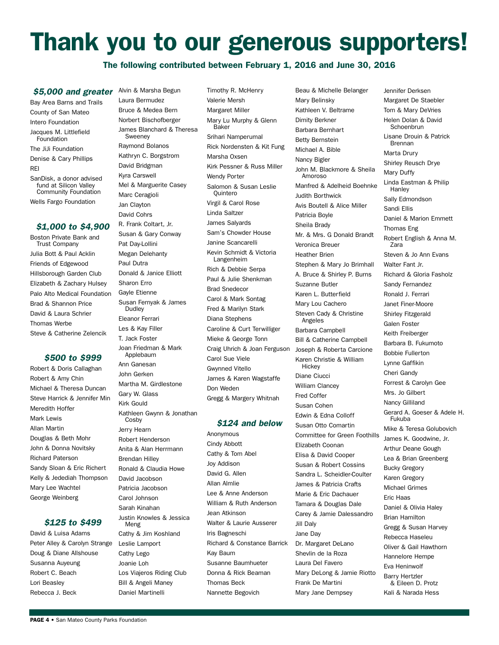# Thank you to our generous supporters!

#### The following contributed between February 1, 2016 and June 30, 2016

#### \$5,000 and greater Alvin & Marsha Begun

Bay Area Barns and Trails County of San Mateo Intero Foundation Jacques M. Littlefield Foundation The JiJi Foundation Denise & Cary Phillips REI SanDisk, a donor advised fund at Silicon Valley Community Foundation Wells Fargo Foundation *\$1,000 to \$4,900*

Boston Private Bank and Trust Company Julia Bott & Paul Acklin Friends of Edgewood Hillsborough Garden Club Elizabeth & Zachary Hulsey Palo Alto Medical Foundation Brad & Shannon Price David & Laura Schrier Thomas Werbe Steve & Catherine Zelencik

#### *\$500 to \$999*

Robert & Doris Callaghan Robert & Amy Chin Michael & Theresa Duncan Steve Harrick & Jennifer Min Meredith Hoffer Mark Lewis Allan Martin Douglas & Beth Mohr John & Donna Novitsky Richard Paterson Sandy Sloan & Eric Richert Kelly & Jedediah Thompson Mary Lee Wachtel George Weinberg

#### *\$125 to \$499*

David & Luisa Adams Peter Alley & Carolyn Strange Doug & Diane Allshouse Susanna Auyeung Robert C. Beach Lori Beasley Rebecca J. Beck

Laura Bermudez Bruce & Medea Bern Norbert Bischofberger James Blanchard & Theresa Sweeney Raymond Bolanos Kathryn C. Borgstrom David Bridgman Kyra Carswell Mel & Marguerite Casey Marc Ceragioli Jan Clayton David Cohrs R. Frank Coltart, Jr. Susan & Gary Conway Pat Day-Lollini Megan Delehanty Paul Dutra Donald & Janice Elliott Sharon Erro Gayle Etienne Susan Fernyak & James Dudley Eleanor Ferrari Les & Kay Filler T. Jack Foster Joan Friedman & Mark Applebaum Ann Ganesan John Gerken Martha M. Girdlestone Gary W. Glass Kirk Gould Kathleen Gwynn & Jonathan Cosby Jerry Hearn Robert Henderson Anita & Alan Herrmann Brendan Hilley Ronald & Claudia Howe David Jacobson Patricia Jacobson Carol Johnson Sarah Kinahan

Cathy & Jim Koshland Leslie Lamport Cathy Lego Joanie Loh Los Viajeros Riding Club Bill & Angeli Maney Daniel Martinelli

Justin Knowles & Jessica

Meng

Timothy R. McHenry Valerie Mersh Margaret Miller Mary Lu Murphy & Glenn Baker Srihari Namperumal Rick Nordensten & Kit Fung Marsha Oxsen Kirk Pessner & Russ Miller Wendy Porter Salomon & Susan Leslie Quintero Virgil & Carol Rose Linda Saltzer James Salyards Sam's Chowder House Janine Scancarelli Kevin Schmidt & Victoria Langenheim Rich & Debbie Serpa Paul & Julie Shenkman Brad Snedecor Carol & Mark Sontag Fred & Marilyn Stark Diana Stephens Caroline & Curt Terwilliger Mieke & George Tonn Craig Uhrich & Joan Ferguson Carol Sue Viele Gwynned Vitello James & Karen Wagstaffe Don Weden Gregg & Margery Whitnah

#### *\$124 and below*

Anonymous Cindy Abbott Cathy & Tom Abel Joy Addison David G. Allen Allan Almlie Lee & Anne Anderson William & Ruth Anderson Jean Atkinson Walter & Laurie Ausserer Iris Bagneschi Richard & Constance Barrick Kay Baum Susanne Baumhueter Donna & Rick Beaman Thomas Beck Nannette Begovich

Beau & Michelle Belanger Mary Belinsky Kathleen V. Beltrame Dimity Berkner Barbara Bernhart Betty Bernstein Michael A. Bible Nancy Bigler John M. Blackmore & Sheila Amoroso Manfred & Adelheid Boehnke Judith Borthwick Avis Boutell & Alice Miller Patricia Boyle Sheila Brady Mr. & Mrs. G Donald Brandt Veronica Breuer Heather Brien Stephen & Mary Jo Brimhall A. Bruce & Shirley P. Burns Suzanne Butler Karen L. Butterfield Mary Lou Cachero Steven Cady & Christine Angeles Barbara Campbell Bill & Catherine Campbell Joseph & Roberta Carcione Karen Christie & William **Hickey** Diane Ciucci William Clancey Fred Coffer Susan Cohen Edwin & Edna Colloff Susan Otto Comartin Committee for Green Foothills Elizabeth Coonan Elisa & David Cooper Susan & Robert Cossins Sandra L. Scheidler-Coulter James & Patricia Crafts Marie & Eric Dachauer Tamara & Douglas Dale Carey & Jamie Dalessandro Jill Daly Jane Day Dr. Margaret DeLano Shevlin de la Roza Laura Del Favero Mary DeLong & Jamie Riotto Frank De Martini Mary Jane Dempsey

Jennifer Derksen Margaret De Staebler Tom & Mary DeVries Helen Dolan & David **Schoenbrun** Lisane Drouin & Patrick Brennan Marta Drury Shirley Reusch Drye Mary Duffy Linda Eastman & Philip **Hanley** Sally Edmondson Sandi Ellis Daniel & Marion Emmett Thomas Eng Robert English & Anna M. Zara Steven & Jo Ann Evans Walter Fant Jr. Richard & Gloria Fasholz Sandy Fernandez Ronald J. Ferrari Janet Finer-Moore Shirley Fitzgerald Galen Foster Keith Freiberger Barbara B. Fukumoto Bobbie Fullerton Lynne Gaffikin Cheri Gandy Forrest & Carolyn Gee Mrs. Jo Gilbert Nancy Gilliland Gerard A. Goeser & Adele H. Fukuba Mike & Teresa Golubovich James K. Goodwine, Jr. Arthur Deane Gough Lea & Brian Greenberg Bucky Gregory Karen Gregory Michael Grimes Eric Haas Daniel & Olivia Haley Brian Hamilton Gregg & Susan Harvey Rebecca Haseleu Oliver & Gail Hawthorn Hannelore Hempe Eva Heninwolf Barry Hertzler & Eileen D. Protz Kali & Narada Hess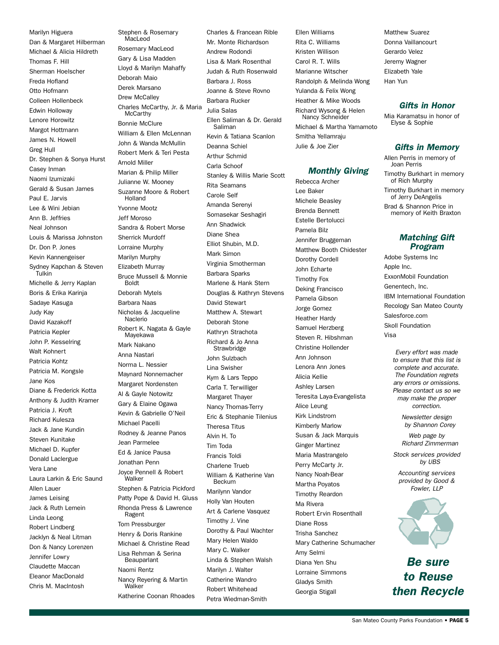Marilyn Higuera Dan & Margaret Hilberman Michael & Alicia Hildreth Thomas F. Hill Sherman Hoelscher Freda Hofland Otto Hofmann Colleen Hollenbeck Edwin Holloway Lenore Horowitz Margot Hottmann James N. Howell Greg Hull Dr. Stephen & Sonya Hurst Casey Inman Naomi Izumizaki Gerald & Susan James Paul E. Jarvis Lee & Wini Jebian Ann B. Jeffries Neal Johnson Louis & Marissa Johnston Dr. Don P. Jones Kevin Kannengeiser Sydney Kapchan & Steven Tulkin Michelle & Jerry Kaplan Boris & Erika Karinja Sadaye Kasuga Judy Kay David Kazakoff Patricia Kepler John P. Kesselring Walt Kohnert Patricia Kohtz Patricia M. Kongsle Jane Kos Diane & Frederick Kotta Anthony & Judith Kramer Patricia J. Kroft Richard Kulesza Jack & Jane Kundin Steven Kunitake Michael D. Kupfer Donald Laclergue Vera Lane Laura Larkin & Eric Saund Allen Lauer James Leising Jack & Ruth Lemein Linda Leong Robert Lindberg Jacklyn & Neal Litman Don & Nancy Lorenzen Jennifer Lowry Claudette Maccan Eleanor MacDonald Chris M. MacIntosh

Stephen & Rosemary MacLeod Rosemary MacLeod Gary & Lisa Madden Lloyd & Marilyn Mahaffy Deborah Maio Derek Marsano Drew McCalley Charles McCarthy, Jr. & Maria **McCarthy** Bonnie McClure William & Ellen McLennan John & Wanda McMullin Robert Merk & Teri Pesta Arnold Miller Marian & Philip Miller Julianne W. Mooney Suzanne Moore & Robert Holland Yvonne Mootz Jeff Moroso Sandra & Robert Morse Sherrick Murdoff Lorraine Murphy Marilyn Murphy Elizabeth Murray Bruce Mussell & Monnie Boldt Deborah Mytels Barbara Naas Nicholas & Jacqueline Naclerio Robert K. Nagata & Gayle Mayekawa Mark Nakano Anna Nastari Norma L. Nessier Maynard Nonnemacher Margaret Nordensten Al & Gayle Notowitz Gary & Elaine Ogawa Kevin & Gabrielle O'Neil Michael Pacelli Rodney & Jeanne Panos Jean Parmelee Ed & Janice Pausa Jonathan Penn Joyce Pennell & Robert Walker Stephen & Patricia Pickford Patty Pope & David H. Gluss Rhonda Press & Lawrence Ragent Tom Pressburger Henry & Doris Rankine Michael & Christine Read Lisa Rehman & Serina Beauparlant Naomi Rentz Nancy Reyering & Martin Walker Katherine Coonan Rhoades

Charles & Francean Rible Mr. Monte Richardson Andrew Rodondi Lisa & Mark Rosenthal Judah & Ruth Rosenwald Barbara J. Ross Joanne & Steve Rovno Barbara Rucker Julia Salas Ellen Saliman & Dr. Gerald Saliman Kevin & Tatiana Scanlon Deanna Schiel Arthur Schmid Carla Schoof Stanley & Willis Marie Scott Rita Seamans Carole Self Amanda Serenyi Somasekar Seshagiri Ann Shadwick Diane Shea Elliot Shubin, M.D. Mark Simon Virginia Smotherman Barbara Sparks Marlene & Hank Stern Douglas & Kathryn Stevens David Stewart Matthew A. Stewart Deborah Stone Kathryn Strachota Richard & Jo Anna **Strawbridge** John Sulzbach Lina Swisher Kym & Lars Teppo Carla T. Terwilliger Margaret Thayer Nancy Thomas-Terry Eric & Stephanie Tilenius Theresa Titus Alvin H. To Tim Toda Francis Toldi Charlene Trueb William & Katherine Van Beckum Marilynn Vandor Holly Van Houten Art & Carlene Vasquez Timothy J. Vine Dorothy & Paul Wachter Mary Helen Waldo Mary C. Walker Linda & Stephen Walsh Marilyn J. Walter Catherine Wandro Robert Whitehead

Petra Wiedman-Smith

Ellen Williams Rita C. Williams Kristen Willison Carol R. T. Wills Marianne Witscher Randolph & Melinda Wong Yulanda & Felix Wong Heather & Mike Woods Richard Wysong & Helen Nancy Schneider Michael & Martha Yamamoto Smitha Yellamraju Julie & Joe Zier

#### *Monthly Giving*

Rebecca Archer Lee Baker Michele Beasley Brenda Bennett Estelle Bertolucci Pamela Bilz Jennifer Bruggeman Matthew Booth Chidester Dorothy Cordell John Echarte Timothy Fox Deking Francisco Pamela Gibson Jorge Gomez Heather Hardy Samuel Herzberg Steven R. Hibshman Christine Hollender Ann Johnson Lenora Ann Jones Alicia Kellie Ashley Larsen Teresita Laya-Evangelista Alice Leung Kirk Lindstrom Kimberly Marlow Susan & Jack Marquis Ginger Martinez Maria Mastrangelo Perry McCarty Jr. Nancy Noah-Bear Martha Poyatos Timothy Reardon Ma Rivera Robert Ervin Rosenthall Diane Ross Trisha Sanchez Mary Catherine Schumacher Amy Selmi Diana Yen Shu Lorraine Simmons Gladys Smith Georgia Stigall

Matthew Suarez Donna Vaillancourt Gerardo Velez Jeremy Wagner Elizabeth Yale Han Yun

#### *Gifts in Honor*

Mia Karamatsu in honor of Elyse & Sophie

#### *Gifts in Memory*

Allen Perris in memory of Joan Perris Timothy Burkhart in memory of Rich Murphy Timothy Burkhart in memory

of Jerry DeAngelis Brad & Shannon Price in memory of Keith Braxton

#### *Matching Gift Program*

Adobe Systems Inc Apple Inc. ExxonMobil Foundation Genentech, Inc. IBM International Foundation Recology San Mateo County Salesforce.com Skoll Foundation Visa

> *Every effort was made to ensure that this list is complete and accurate. The Foundation regrets any errors or omissions. Please contact us so we may make the proper correction.*

> > *Newsletter design by Shannon Corey*

*Web page by Richard Zimmerman* 

*Stock services provided by UBS*

*Accounting services provided by Good & Fowler, LLP*



*Be sure to Reuse then Recycle*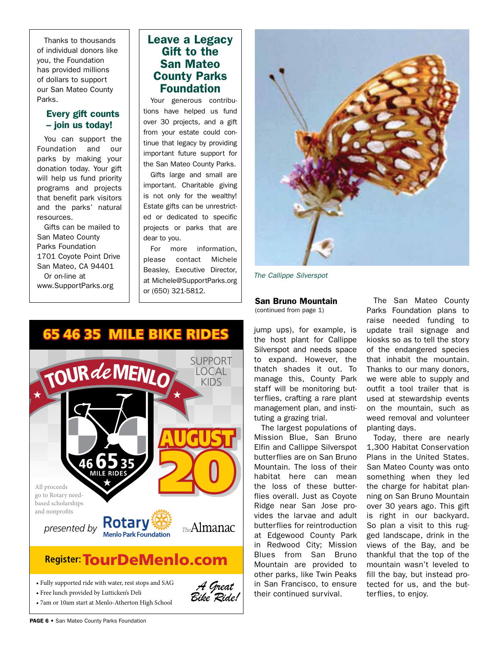Thanks to thousands of individual donors like you, the Foundation has provided millions of dollars to support our San Mateo County Parks.

#### Every gift counts – join us today!

You can support the Foundation and our parks by making your donation today. Your gift will help us fund priority programs and projects that benefit park visitors and the parks' natural resources.

Gifts can be mailed to San Mateo County Parks Foundation 1701 Coyote Point Drive San Mateo, CA 94401 Or on-line at www.SupportParks.org

### Leave a Legacy Gift to the San Mateo County Parks Foundation

Your generous contributions have helped us fund over 30 projects, and a gift from your estate could continue that legacy by providing important future support for the San Mateo County Parks.

Gifts large and small are important. Charitable giving is not only for the wealthy! Estate gifts can be unrestricted or dedicated to specific projects or parks that are dear to you.

For more information, please contact Michele Beasley, Executive Director, at Michele@SupportParks.org or (650) 321-5812.



*The Callippe Silverspot*

#### San Bruno Mountain

(continued from page 1)

jump ups), for example, is the host plant for Callippe Silverspot and needs space to expand. However, the thatch shades it out. To manage this, County Park staff will be monitoring butterflies, crafting a rare plant management plan, and instituting a grazing trial.

The largest populations of Mission Blue, San Bruno Elfin and Callippe Silverspot butterflies are on San Bruno Mountain. The loss of their habitat here can mean the loss of these butterflies overall. Just as Coyote Ridge near San Jose provides the larvae and adult butterflies for reintroduction at Edgewood County Park in Redwood City; Mission Blues from San Bruno Mountain are provided to other parks, like Twin Peaks in San Francisco, to ensure their continued survival.

The San Mateo County Parks Foundation plans to raise needed funding to update trail signage and kiosks so as to tell the story of the endangered species that inhabit the mountain. Thanks to our many donors, we were able to supply and outfit a tool trailer that is used at stewardship events on the mountain, such as weed removal and volunteer planting days.

Today, there are nearly 1,300 Habitat Conservation Plans in the United States. San Mateo County was onto something when they led the charge for habitat planning on San Bruno Mountain over 30 years ago. This gift is right in our backyard. So plan a visit to this rugged landscape, drink in the views of the Bay, and be thankful that the top of the mountain wasn't leveled to fill the bay, but instead protected for us, and the butterflies, to enjoy.



• 7am or 10am start at Menlo-Atherton High School

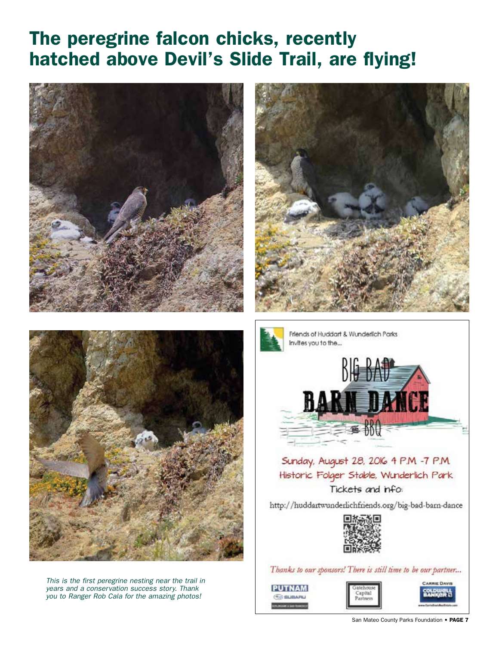## The peregrine falcon chicks, recently hatched above Devil's Slide Trail, are flying!